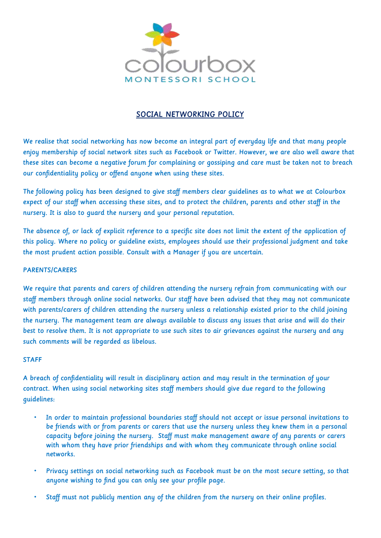

## SOCIAL NETWORKING POLICY

We realise that social networking has now become an integral part of everyday life and that many people enjoy membership of social network sites such as Facebook or Twitter. However, we are also well aware that these sites can become a negative forum for complaining or gossiping and care must be taken not to breach our confidentiality policy or offend anyone when using these sites.

The following policy has been designed to give staff members clear guidelines as to what we at Colourbox expect of our staff when accessing these sites, and to protect the children, parents and other staff in the nursery. It is also to guard the nursery and your personal reputation.

The absence of, or lack of explicit reference to a specific site does not limit the extent of the application of this policy. Where no policy or guideline exists, employees should use their professional judgment and take the most prudent action possible. Consult with a Manager if you are uncertain.

## PARENTS/CARERS

We require that parents and carers of children attending the nursery refrain from communicating with our staff members through online social networks. Our staff have been advised that they may not communicate with parents/carers of children attending the nursery unless a relationship existed prior to the child joining the nursery. The management team are always available to discuss any issues that arise and will do their best to resolve them. It is not appropriate to use such sites to air grievances against the nursery and any such comments will be regarded as libelous.

## STAFF

A breach of confidentiality will result in disciplinary action and may result in the termination of your contract. When using social networking sites staff members should give due regard to the following guidelines:

- In order to maintain professional boundaries staff should not accept or issue personal invitations to be friends with or from parents or carers that use the nursery unless they knew them in a personal capacity before joining the nursery. Staff must make management aware of any parents or carers with whom they have prior friendships and with whom they communicate through online social networks.
- Privacy settings on social networking such as Facebook must be on the most secure setting, so that anyone wishing to find you can only see your profile page.
- Staff must not publicly mention any of the children from the nursery on their online profiles.